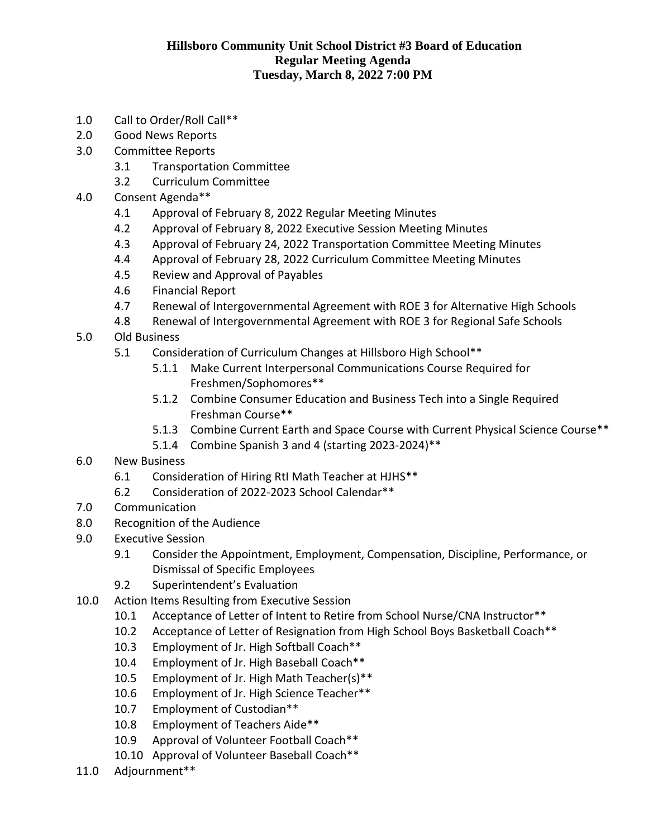## **Hillsboro Community Unit School District #3 Board of Education Regular Meeting Agenda Tuesday, March 8, 2022 7:00 PM**

- 1.0 Call to Order/Roll Call\*\*
- 2.0 Good News Reports
- 3.0 Committee Reports
	- 3.1 Transportation Committee
	- 3.2 Curriculum Committee
- 4.0 Consent Agenda\*\*
	- 4.1 Approval of February 8, 2022 Regular Meeting Minutes
	- 4.2 Approval of February 8, 2022 Executive Session Meeting Minutes
	- 4.3 Approval of February 24, 2022 Transportation Committee Meeting Minutes
	- 4.4 Approval of February 28, 2022 Curriculum Committee Meeting Minutes
	- 4.5 Review and Approval of Payables
	- 4.6 Financial Report
	- 4.7 Renewal of Intergovernmental Agreement with ROE 3 for Alternative High Schools
	- 4.8 Renewal of Intergovernmental Agreement with ROE 3 for Regional Safe Schools
- 5.0 Old Business
	- 5.1 Consideration of Curriculum Changes at Hillsboro High School\*\*
		- 5.1.1 Make Current Interpersonal Communications Course Required for Freshmen/Sophomores\*\*
		- 5.1.2 Combine Consumer Education and Business Tech into a Single Required Freshman Course\*\*
		- 5.1.3 Combine Current Earth and Space Course with Current Physical Science Course\*\*
		- 5.1.4 Combine Spanish 3 and 4 (starting 2023-2024)\*\*
- 6.0 New Business
	- 6.1 Consideration of Hiring RtI Math Teacher at HJHS\*\*
	- 6.2 Consideration of 2022-2023 School Calendar\*\*
- 7.0 Communication
- 8.0 Recognition of the Audience
- 9.0 Executive Session
	- 9.1 Consider the Appointment, Employment, Compensation, Discipline, Performance, or Dismissal of Specific Employees
	- 9.2 Superintendent's Evaluation
- 10.0 Action Items Resulting from Executive Session
	- 10.1 Acceptance of Letter of Intent to Retire from School Nurse/CNA Instructor\*\*
	- 10.2 Acceptance of Letter of Resignation from High School Boys Basketball Coach\*\*
	- 10.3 Employment of Jr. High Softball Coach\*\*
	- 10.4 Employment of Jr. High Baseball Coach\*\*
	- 10.5 Employment of Jr. High Math Teacher(s)\*\*
	- 10.6 Employment of Jr. High Science Teacher\*\*
	- 10.7 Employment of Custodian\*\*
	- 10.8 Employment of Teachers Aide\*\*
	- 10.9 Approval of Volunteer Football Coach\*\*
	- 10.10 Approval of Volunteer Baseball Coach\*\*
- 11.0 Adjournment\*\*